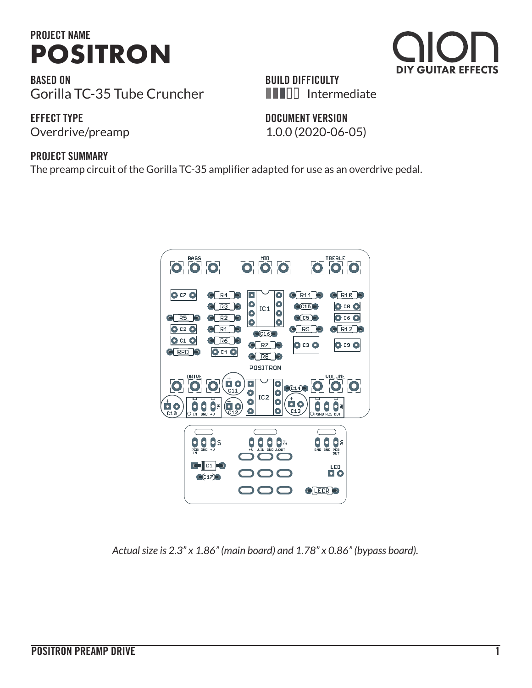

**BASED ON** Gorilla TC-35 Tube Cruncher **BUILD DIFFICULTY INIED** Intermediate

### **EFFECT TYPE**

# **DOCUMENT VERSION**

#### **PROJECT SUMMARY**

The preamp circuit of the Gorilla TC-35 amplifier adapted for use as an overdrive pedal.



*Actual size is 2.3" x 1.86" (main board) and 1.78" x 0.86" (bypass board).*



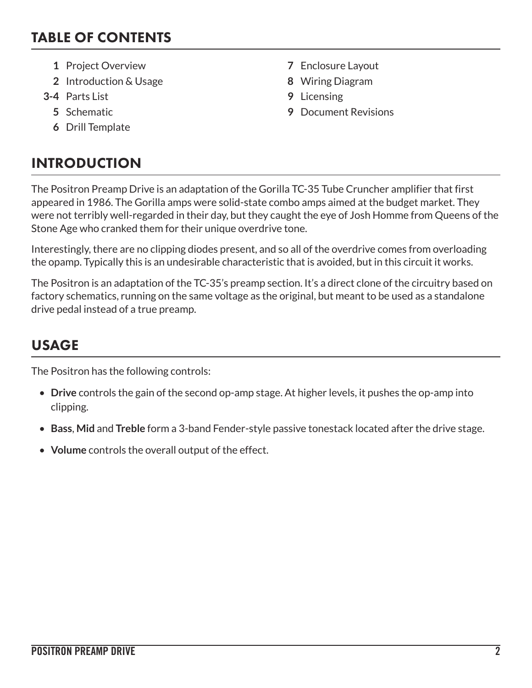### TABLE OF CONTENTS

- **1** Project Overview **7** Enclosure Layout
- **2** Introduction & Usage **8** Wiring Diagram
- **3-4** Parts List **9** Licensing
	-
	- **6** Drill Template

# INTRODUCTION

- 
- 
- 
- **5** Schematic **9** Document Revisions

The Positron Preamp Drive is an adaptation of the Gorilla TC-35 Tube Cruncher amplifier that first appeared in 1986. The Gorilla amps were solid-state combo amps aimed at the budget market. They were not terribly well-regarded in their day, but they caught the eye of Josh Homme from Queens of the Stone Age who cranked them for their unique overdrive tone.

Interestingly, there are no clipping diodes present, and so all of the overdrive comes from overloading the opamp. Typically this is an undesirable characteristic that is avoided, but in this circuit it works.

The Positron is an adaptation of the TC-35's preamp section. It's a direct clone of the circuitry based on factory schematics, running on the same voltage as the original, but meant to be used as a standalone drive pedal instead of a true preamp.

# USAGE

The Positron has the following controls:

- **Drive** controls the gain of the second op-amp stage. At higher levels, it pushes the op-amp into clipping.
- **Bass**, **Mid** and **Treble** form a 3-band Fender-style passive tonestack located after the drive stage.
- **Volume** controls the overall output of the effect.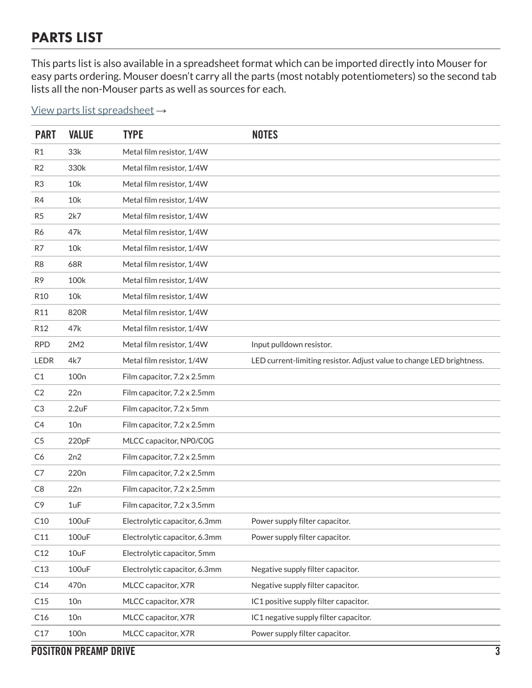### PARTS LIST

This parts list is also available in a spreadsheet format which can be imported directly into Mouser for easy parts ordering. Mouser doesn't carry all the parts (most notably potentiometers) so the second tab lists all the non-Mouser parts as well as sources for each.

#### [View parts list spreadsheet](https://docs.google.com/spreadsheets/d/1mvwXwzSzge-eOY5rerOWU4gCpjjEfWSgVA-Gb-BRLSg/edit?usp=sharing) →

| <b>PART</b>     | <b>VALUE</b>     | <b>TYPE</b>                   | <b>NOTES</b>                                                          |
|-----------------|------------------|-------------------------------|-----------------------------------------------------------------------|
| R1              | 33k              | Metal film resistor, 1/4W     |                                                                       |
| R2              | 330k             | Metal film resistor, 1/4W     |                                                                       |
| R <sub>3</sub>  | 10k              | Metal film resistor, 1/4W     |                                                                       |
| R4              | 10k              | Metal film resistor, 1/4W     |                                                                       |
| R <sub>5</sub>  | 2k7              | Metal film resistor, 1/4W     |                                                                       |
| R6              | 47k              | Metal film resistor, 1/4W     |                                                                       |
| R7              | 10k              | Metal film resistor, 1/4W     |                                                                       |
| R <sub>8</sub>  | 68R              | Metal film resistor, 1/4W     |                                                                       |
| R <sub>9</sub>  | 100k             | Metal film resistor, 1/4W     |                                                                       |
| R <sub>10</sub> | 10k              | Metal film resistor, 1/4W     |                                                                       |
| R11             | 820R             | Metal film resistor, 1/4W     |                                                                       |
| R <sub>12</sub> | 47k              | Metal film resistor, 1/4W     |                                                                       |
| <b>RPD</b>      | 2M2              | Metal film resistor, 1/4W     | Input pulldown resistor.                                              |
| <b>LEDR</b>     | 4k7              | Metal film resistor, 1/4W     | LED current-limiting resistor. Adjust value to change LED brightness. |
| C1              | 100 <sub>n</sub> | Film capacitor, 7.2 x 2.5mm   |                                                                       |
| C <sub>2</sub>  | 22n              | Film capacitor, 7.2 x 2.5mm   |                                                                       |
| C3              | 2.2uF            | Film capacitor, 7.2 x 5mm     |                                                                       |
| C4              | 10n              | Film capacitor, 7.2 x 2.5mm   |                                                                       |
| C <sub>5</sub>  | 220pF            | MLCC capacitor, NP0/C0G       |                                                                       |
| C <sub>6</sub>  | 2n2              | Film capacitor, 7.2 x 2.5mm   |                                                                       |
| C7              | 220 <sub>n</sub> | Film capacitor, 7.2 x 2.5mm   |                                                                       |
| C <sub>8</sub>  | 22n              | Film capacitor, 7.2 x 2.5mm   |                                                                       |
| C <sub>9</sub>  | 1uF              | Film capacitor, 7.2 x 3.5mm   |                                                                       |
| C10             | 100uF            | Electrolytic capacitor, 6.3mm | Power supply filter capacitor.                                        |
| C11             | 100uF            | Electrolytic capacitor, 6.3mm | Power supply filter capacitor.                                        |
| C12             | 10uF             | Electrolytic capacitor, 5mm   |                                                                       |
| C13             | 100uF            | Electrolytic capacitor, 6.3mm | Negative supply filter capacitor.                                     |
| C14             | 470 <sub>n</sub> | MLCC capacitor, X7R           | Negative supply filter capacitor.                                     |
| C15             | 10n              | MLCC capacitor, X7R           | IC1 positive supply filter capacitor.                                 |
| C16             | 10n              | MLCC capacitor, X7R           | IC1 negative supply filter capacitor.                                 |
| C17             | 100 <sub>n</sub> | MLCC capacitor, X7R           | Power supply filter capacitor.                                        |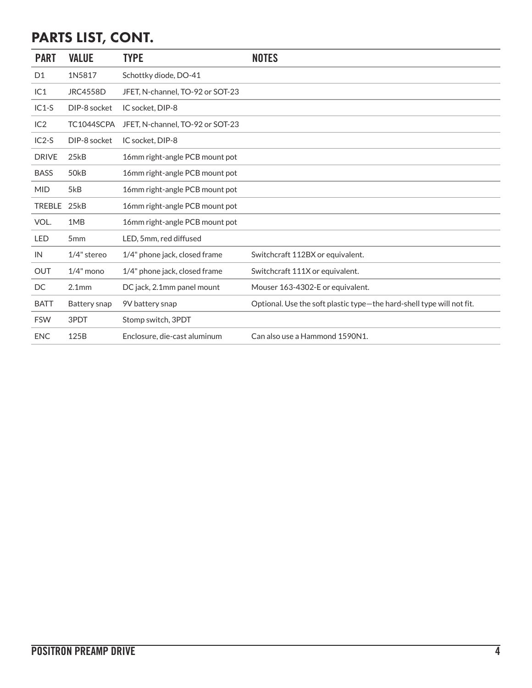# PARTS LIST, CONT.

| <b>PART</b>    | <b>VALUE</b>      | <b>TYPE</b>                      | <b>NOTES</b>                                                          |
|----------------|-------------------|----------------------------------|-----------------------------------------------------------------------|
| D <sub>1</sub> | 1N5817            | Schottky diode, DO-41            |                                                                       |
| IC1            | <b>JRC4558D</b>   | JFET, N-channel, TO-92 or SOT-23 |                                                                       |
| $IC1-S$        | DIP-8 socket      | IC socket, DIP-8                 |                                                                       |
| IC2            | TC1044SCPA        | JFET, N-channel, TO-92 or SOT-23 |                                                                       |
| $IC2-S$        | DIP-8 socket      | IC socket, DIP-8                 |                                                                       |
| <b>DRIVE</b>   | 25kB              | 16mm right-angle PCB mount pot   |                                                                       |
| <b>BASS</b>    | 50 <sub>k</sub> B | 16mm right-angle PCB mount pot   |                                                                       |
| <b>MID</b>     | 5kB               | 16mm right-angle PCB mount pot   |                                                                       |
| <b>TREBLE</b>  | 25kB              | 16mm right-angle PCB mount pot   |                                                                       |
| VOL.           | 1MB               | 16mm right-angle PCB mount pot   |                                                                       |
| <b>LED</b>     | 5 <sub>mm</sub>   | LED, 5mm, red diffused           |                                                                       |
| IN             | 1/4" stereo       | 1/4" phone jack, closed frame    | Switchcraft 112BX or equivalent.                                      |
| <b>OUT</b>     | $1/4$ " mono      | 1/4" phone jack, closed frame    | Switchcraft 111X or equivalent.                                       |
| DC             | 2.1 <sub>mm</sub> | DC jack, 2.1mm panel mount       | Mouser 163-4302-E or equivalent.                                      |
| <b>BATT</b>    | Battery snap      | 9V battery snap                  | Optional. Use the soft plastic type-the hard-shell type will not fit. |
| <b>FSW</b>     | 3PDT              | Stomp switch, 3PDT               |                                                                       |
| <b>ENC</b>     | 125B              | Enclosure, die-cast aluminum     | Can also use a Hammond 1590N1.                                        |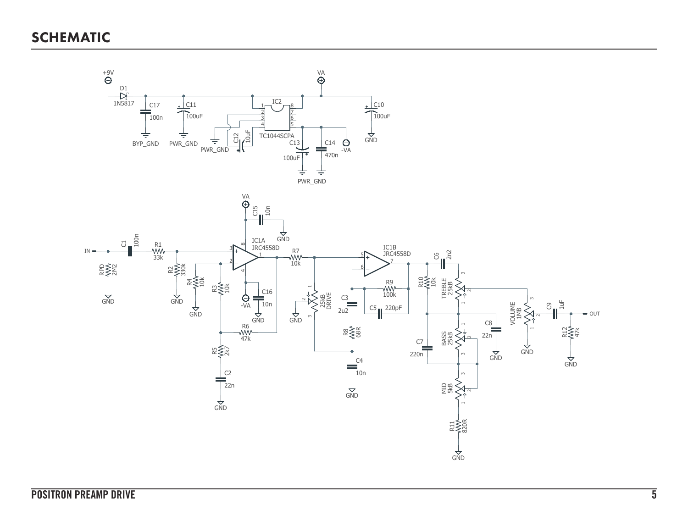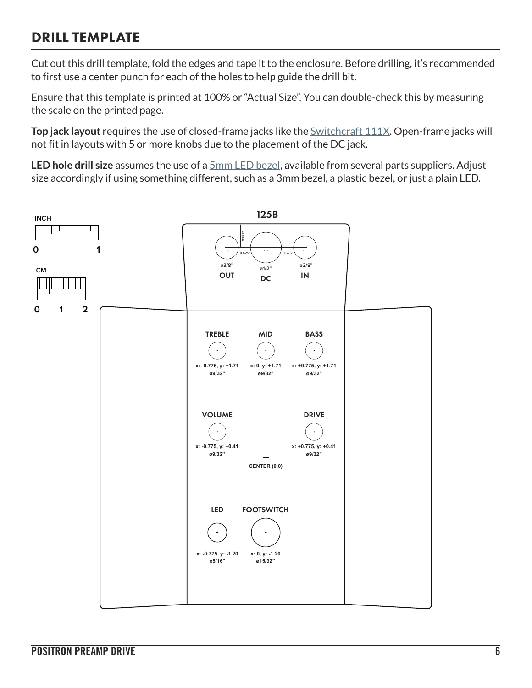### DRILL TEMPLATE

Cut out this drill template, fold the edges and tape it to the enclosure. Before drilling, it's recommended to first use a center punch for each of the holes to help guide the drill bit.

Ensure that this template is printed at 100% or "Actual Size". You can double-check this by measuring the scale on the printed page.

**Top jack layout** requires the use of closed-frame jacks like the **Switchcraft 111X**. Open-frame jacks will not fit in layouts with 5 or more knobs due to the placement of the DC jack.

**LED hole drill size** assumes the use of a [5mm LED bezel,](http://www.smallbear-electronics.mybigcommerce.com/bezel-5mm-chrome/) available from several parts suppliers. Adjust size accordingly if using something different, such as a 3mm bezel, a plastic bezel, or just a plain LED.

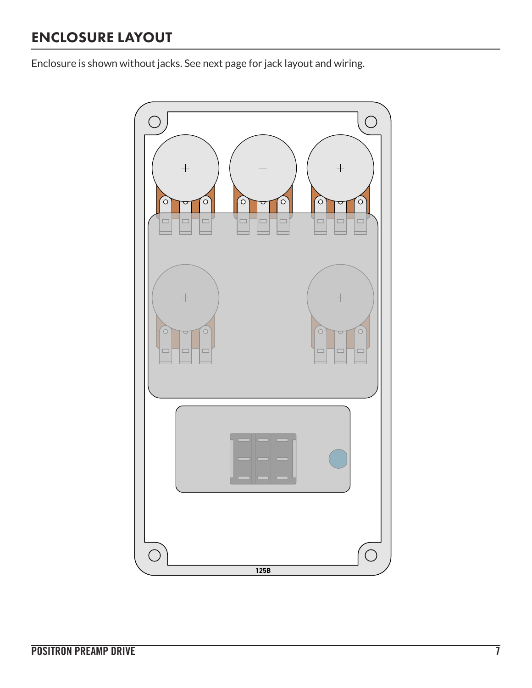# ENCLOSURE LAYOUT

Enclosure is shown without jacks. See next page for jack layout and wiring.

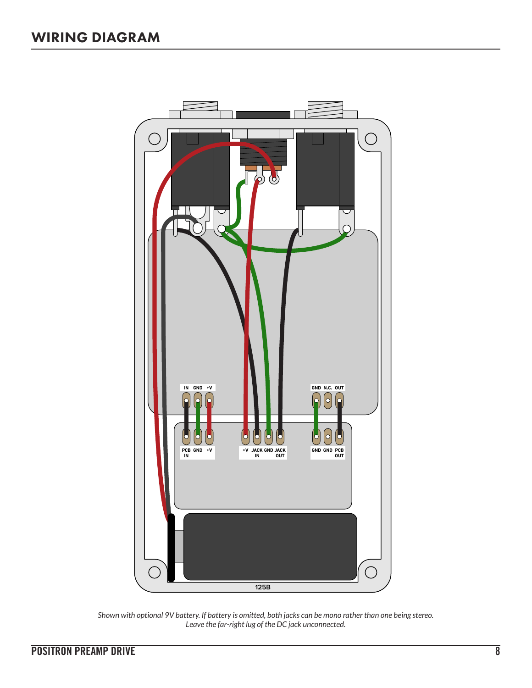

*Shown with optional 9V battery. If battery is omitted, both jacks can be mono rather than one being stereo. Leave the far-right lug of the DC jack unconnected.*